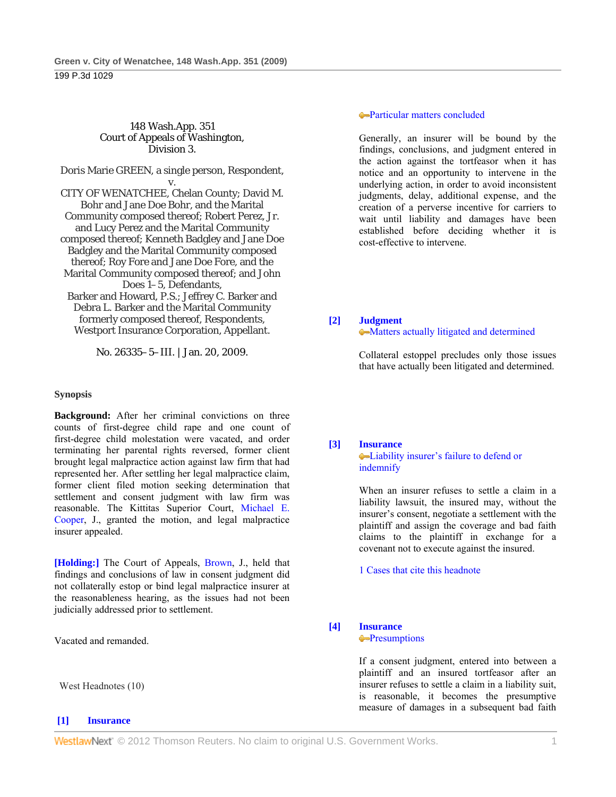#### 148 Wash.App. 351 Court of Appeals of Washington, Division 3.

Doris Marie GREEN, a single person, Respondent,

v. CITY OF WENATCHEE, Chelan County; David M. Bohr and Jane Doe Bohr, and the Marital Community composed thereof; Robert Perez, Jr. and Lucy Perez and the Marital Community composed thereof; Kenneth Badgley and Jane Doe Badgley and the Marital Community composed thereof; Roy Fore and Jane Doe Fore, and the Marital Community composed thereof; and John Does 1–5, Defendants, Barker and Howard, P.S.; Jeffrey C. Barker and Debra L. Barker and the Marital Community formerly composed thereof, Respondents,

Westport Insurance Corporation, Appellant.

No. 26335–5–III. | Jan. 20, 2009.

## **Synopsis**

**Background:** After her criminal convictions on three counts of first-degree child rape and one count of first-degree child molestation were vacated, and order terminating her parental rights reversed, former client brought legal malpractice action against law firm that had represented her. After settling her legal malpractice claim, former client filed motion seeking determination that settlement and consent judgment with law firm was reasonable. The Kittitas Superior Court, Michael E. Cooper, J., granted the motion, and legal malpractice insurer appealed.

**[Holding:]** The Court of Appeals, Brown, J., held that findings and conclusions of law in consent judgment did not collaterally estop or bind legal malpractice insurer at the reasonableness hearing, as the issues had not been judicially addressed prior to settlement.

Vacated and remanded.

West Headnotes (10)

## **[1] Insurance**

## Particular matters concluded

 Generally, an insurer will be bound by the findings, conclusions, and judgment entered in the action against the tortfeasor when it has notice and an opportunity to intervene in the underlying action, in order to avoid inconsistent judgments, delay, additional expense, and the creation of a perverse incentive for carriers to wait until liability and damages have been established before deciding whether it is cost-effective to intervene.

#### **[2] Judgment**

#### Matters actually litigated and determined

 Collateral estoppel precludes only those issues that have actually been litigated and determined.

#### **[3] Insurance**

#### Liability insurer's failure to defend or indemnify

 When an insurer refuses to settle a claim in a liability lawsuit, the insured may, without the insurer's consent, negotiate a settlement with the plaintiff and assign the coverage and bad faith claims to the plaintiff in exchange for a covenant not to execute against the insured.

1 Cases that cite this headnote

## **[4] Insurance**

#### **Presumptions**

 If a consent judgment, entered into between a plaintiff and an insured tortfeasor after an insurer refuses to settle a claim in a liability suit, is reasonable, it becomes the presumptive measure of damages in a subsequent bad faith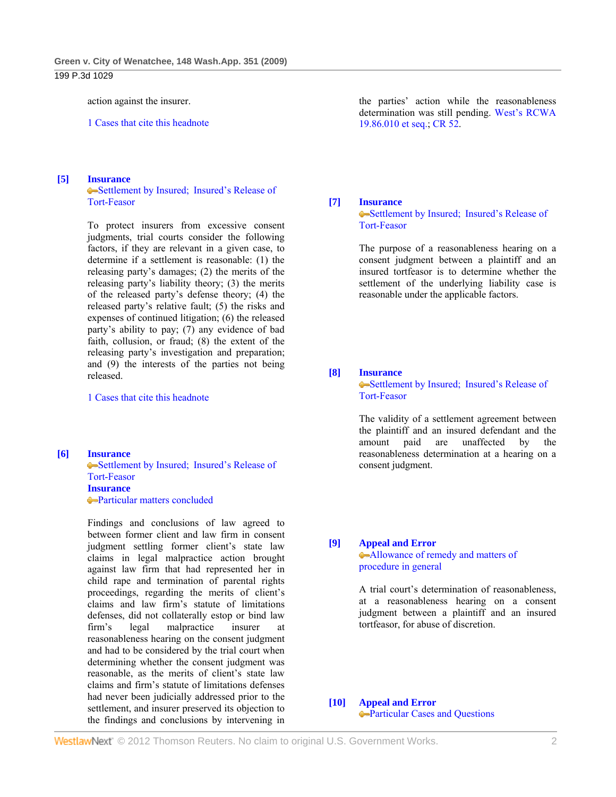#### 199 P.3d 1029

action against the insurer.

1 Cases that cite this headnote

## **[5] Insurance**

Settlement by Insured; Insured's Release of Tort-Feasor

 To protect insurers from excessive consent judgments, trial courts consider the following factors, if they are relevant in a given case, to determine if a settlement is reasonable: (1) the releasing party's damages; (2) the merits of the releasing party's liability theory; (3) the merits of the released party's defense theory; (4) the released party's relative fault; (5) the risks and expenses of continued litigation; (6) the released party's ability to pay; (7) any evidence of bad faith, collusion, or fraud; (8) the extent of the releasing party's investigation and preparation; and (9) the interests of the parties not being released.

1 Cases that cite this headnote

#### **[6] Insurance**

Settlement by Insured; Insured's Release of Tort-Feasor **Insurance** Particular matters concluded

 Findings and conclusions of law agreed to between former client and law firm in consent judgment settling former client's state law claims in legal malpractice action brought against law firm that had represented her in child rape and termination of parental rights proceedings, regarding the merits of client's claims and law firm's statute of limitations defenses, did not collaterally estop or bind law firm's legal malpractice insurer at reasonableness hearing on the consent judgment and had to be considered by the trial court when determining whether the consent judgment was reasonable, as the merits of client's state law claims and firm's statute of limitations defenses had never been judicially addressed prior to the settlement, and insurer preserved its objection to the findings and conclusions by intervening in the parties' action while the reasonableness determination was still pending. West's RCWA 19.86.010 et seq.; CR 52.

#### **[7] Insurance**

•Settlement by Insured; Insured's Release of Tort-Feasor

 The purpose of a reasonableness hearing on a consent judgment between a plaintiff and an insured tortfeasor is to determine whether the settlement of the underlying liability case is reasonable under the applicable factors.

## **[8] Insurance**

Settlement by Insured; Insured's Release of Tort-Feasor

 The validity of a settlement agreement between the plaintiff and an insured defendant and the amount paid are unaffected by the reasonableness determination at a hearing on a consent judgment.

#### **[9] Appeal and Error**

Allowance of remedy and matters of procedure in general

 A trial court's determination of reasonableness, at a reasonableness hearing on a consent judgment between a plaintiff and an insured tortfeasor, for abuse of discretion.

# **[10] Appeal and Error**

Particular Cases and Questions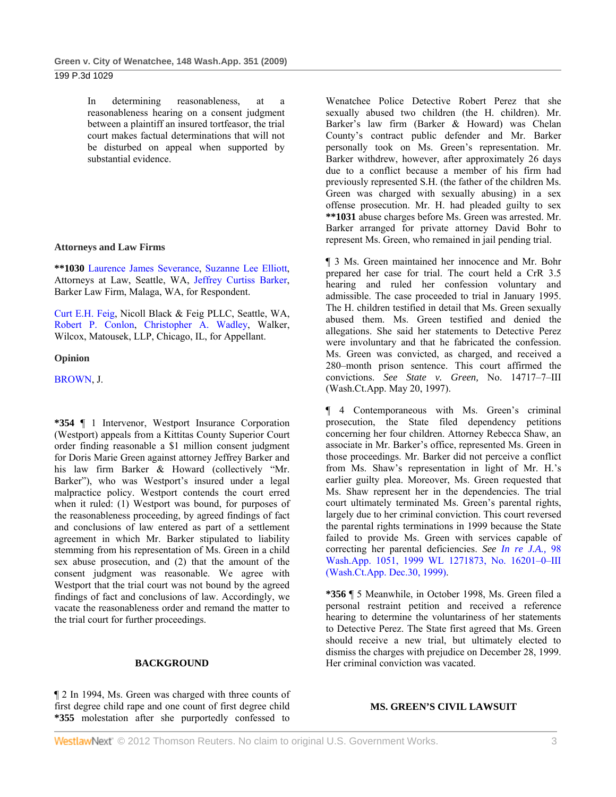## 199 P.3d 1029

 In determining reasonableness, at a reasonableness hearing on a consent judgment between a plaintiff an insured tortfeasor, the trial court makes factual determinations that will not be disturbed on appeal when supported by substantial evidence.

## **Attorneys and Law Firms**

**\*\*1030** Laurence James Severance, Suzanne Lee Elliott, Attorneys at Law, Seattle, WA, Jeffrey Curtiss Barker, Barker Law Firm, Malaga, WA, for Respondent.

Curt E.H. Feig, Nicoll Black & Feig PLLC, Seattle, WA, Robert P. Conlon, Christopher A. Wadley, Walker, Wilcox, Matousek, LLP, Chicago, IL, for Appellant.

## **Opinion**

BROWN, J.

**\*354** ¶ 1 Intervenor, Westport Insurance Corporation (Westport) appeals from a Kittitas County Superior Court order finding reasonable a \$1 million consent judgment for Doris Marie Green against attorney Jeffrey Barker and his law firm Barker & Howard (collectively "Mr. Barker"), who was Westport's insured under a legal malpractice policy. Westport contends the court erred when it ruled: (1) Westport was bound, for purposes of the reasonableness proceeding, by agreed findings of fact and conclusions of law entered as part of a settlement agreement in which Mr. Barker stipulated to liability stemming from his representation of Ms. Green in a child sex abuse prosecution, and (2) that the amount of the consent judgment was reasonable. We agree with Westport that the trial court was not bound by the agreed findings of fact and conclusions of law. Accordingly, we vacate the reasonableness order and remand the matter to the trial court for further proceedings.

## **BACKGROUND**

¶ 2 In 1994, Ms. Green was charged with three counts of first degree child rape and one count of first degree child **\*355** molestation after she purportedly confessed to

Wenatchee Police Detective Robert Perez that she sexually abused two children (the H. children). Mr. Barker's law firm (Barker & Howard) was Chelan County's contract public defender and Mr. Barker personally took on Ms. Green's representation. Mr. Barker withdrew, however, after approximately 26 days due to a conflict because a member of his firm had previously represented S.H. (the father of the children Ms. Green was charged with sexually abusing) in a sex offense prosecution. Mr. H. had pleaded guilty to sex **\*\*1031** abuse charges before Ms. Green was arrested. Mr. Barker arranged for private attorney David Bohr to represent Ms. Green, who remained in jail pending trial.

¶ 3 Ms. Green maintained her innocence and Mr. Bohr prepared her case for trial. The court held a CrR 3.5 hearing and ruled her confession voluntary and admissible. The case proceeded to trial in January 1995. The H. children testified in detail that Ms. Green sexually abused them. Ms. Green testified and denied the allegations. She said her statements to Detective Perez were involuntary and that he fabricated the confession. Ms. Green was convicted, as charged, and received a 280–month prison sentence. This court affirmed the convictions. *See State v. Green,* No. 14717–7–III (Wash.Ct.App. May 20, 1997).

¶ 4 Contemporaneous with Ms. Green's criminal prosecution, the State filed dependency petitions concerning her four children. Attorney Rebecca Shaw, an associate in Mr. Barker's office, represented Ms. Green in those proceedings. Mr. Barker did not perceive a conflict from Ms. Shaw's representation in light of Mr. H.'s earlier guilty plea. Moreover, Ms. Green requested that Ms. Shaw represent her in the dependencies. The trial court ultimately terminated Ms. Green's parental rights, largely due to her criminal conviction. This court reversed the parental rights terminations in 1999 because the State failed to provide Ms. Green with services capable of correcting her parental deficiencies. *See In re J.A.,* 98 Wash.App. 1051, 1999 WL 1271873, No. 16201–0–III (Wash.Ct.App. Dec.30, 1999).

**\*356** ¶ 5 Meanwhile, in October 1998, Ms. Green filed a personal restraint petition and received a reference hearing to determine the voluntariness of her statements to Detective Perez. The State first agreed that Ms. Green should receive a new trial, but ultimately elected to dismiss the charges with prejudice on December 28, 1999. Her criminal conviction was vacated.

#### **MS. GREEN'S CIVIL LAWSUIT**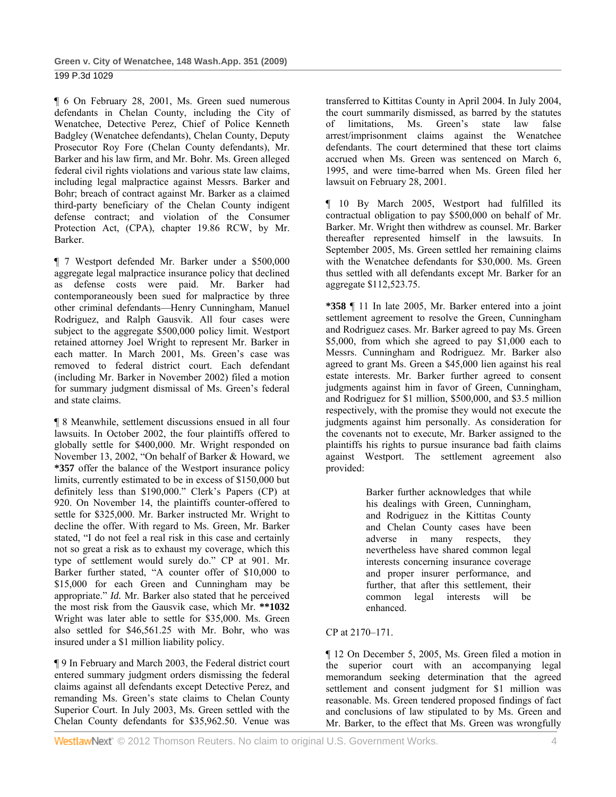¶ 6 On February 28, 2001, Ms. Green sued numerous defendants in Chelan County, including the City of Wenatchee, Detective Perez, Chief of Police Kenneth Badgley (Wenatchee defendants), Chelan County, Deputy Prosecutor Roy Fore (Chelan County defendants), Mr. Barker and his law firm, and Mr. Bohr. Ms. Green alleged federal civil rights violations and various state law claims, including legal malpractice against Messrs. Barker and Bohr; breach of contract against Mr. Barker as a claimed third-party beneficiary of the Chelan County indigent defense contract; and violation of the Consumer Protection Act, (CPA), chapter 19.86 RCW, by Mr. Barker.

¶ 7 Westport defended Mr. Barker under a \$500,000 aggregate legal malpractice insurance policy that declined as defense costs were paid. Mr. Barker had contemporaneously been sued for malpractice by three other criminal defendants—Henry Cunningham, Manuel Rodriguez, and Ralph Gausvik. All four cases were subject to the aggregate \$500,000 policy limit. Westport retained attorney Joel Wright to represent Mr. Barker in each matter. In March 2001, Ms. Green's case was removed to federal district court. Each defendant (including Mr. Barker in November 2002) filed a motion for summary judgment dismissal of Ms. Green's federal and state claims.

¶ 8 Meanwhile, settlement discussions ensued in all four lawsuits. In October 2002, the four plaintiffs offered to globally settle for \$400,000. Mr. Wright responded on November 13, 2002, "On behalf of Barker & Howard, we **\*357** offer the balance of the Westport insurance policy limits, currently estimated to be in excess of \$150,000 but definitely less than \$190,000." Clerk's Papers (CP) at 920. On November 14, the plaintiffs counter-offered to settle for \$325,000. Mr. Barker instructed Mr. Wright to decline the offer. With regard to Ms. Green, Mr. Barker stated, "I do not feel a real risk in this case and certainly not so great a risk as to exhaust my coverage, which this type of settlement would surely do." CP at 901. Mr. Barker further stated, "A counter offer of \$10,000 to \$15,000 for each Green and Cunningham may be appropriate." *Id.* Mr. Barker also stated that he perceived the most risk from the Gausvik case, which Mr. **\*\*1032** Wright was later able to settle for \$35,000. Ms. Green also settled for \$46,561.25 with Mr. Bohr, who was insured under a \$1 million liability policy.

¶ 9 In February and March 2003, the Federal district court entered summary judgment orders dismissing the federal claims against all defendants except Detective Perez, and remanding Ms. Green's state claims to Chelan County Superior Court. In July 2003, Ms. Green settled with the Chelan County defendants for \$35,962.50. Venue was

transferred to Kittitas County in April 2004. In July 2004, the court summarily dismissed, as barred by the statutes of limitations, Ms. Green's state law false arrest/imprisonment claims against the Wenatchee defendants. The court determined that these tort claims accrued when Ms. Green was sentenced on March 6, 1995, and were time-barred when Ms. Green filed her lawsuit on February 28, 2001.

¶ 10 By March 2005, Westport had fulfilled its contractual obligation to pay \$500,000 on behalf of Mr. Barker. Mr. Wright then withdrew as counsel. Mr. Barker thereafter represented himself in the lawsuits. In September 2005, Ms. Green settled her remaining claims with the Wenatchee defendants for \$30,000. Ms. Green thus settled with all defendants except Mr. Barker for an aggregate \$112,523.75.

**\*358** ¶ 11 In late 2005, Mr. Barker entered into a joint settlement agreement to resolve the Green, Cunningham and Rodriguez cases. Mr. Barker agreed to pay Ms. Green \$5,000, from which she agreed to pay \$1,000 each to Messrs. Cunningham and Rodriguez. Mr. Barker also agreed to grant Ms. Green a \$45,000 lien against his real estate interests. Mr. Barker further agreed to consent judgments against him in favor of Green, Cunningham, and Rodriguez for \$1 million, \$500,000, and \$3.5 million respectively, with the promise they would not execute the judgments against him personally. As consideration for the covenants not to execute, Mr. Barker assigned to the plaintiffs his rights to pursue insurance bad faith claims against Westport. The settlement agreement also provided:

> Barker further acknowledges that while his dealings with Green, Cunningham, and Rodriguez in the Kittitas County and Chelan County cases have been adverse in many respects, they nevertheless have shared common legal interests concerning insurance coverage and proper insurer performance, and further, that after this settlement, their common legal interests will be enhanced.

## CP at 2170–171.

¶ 12 On December 5, 2005, Ms. Green filed a motion in the superior court with an accompanying legal memorandum seeking determination that the agreed settlement and consent judgment for \$1 million was reasonable. Ms. Green tendered proposed findings of fact and conclusions of law stipulated to by Ms. Green and Mr. Barker, to the effect that Ms. Green was wrongfully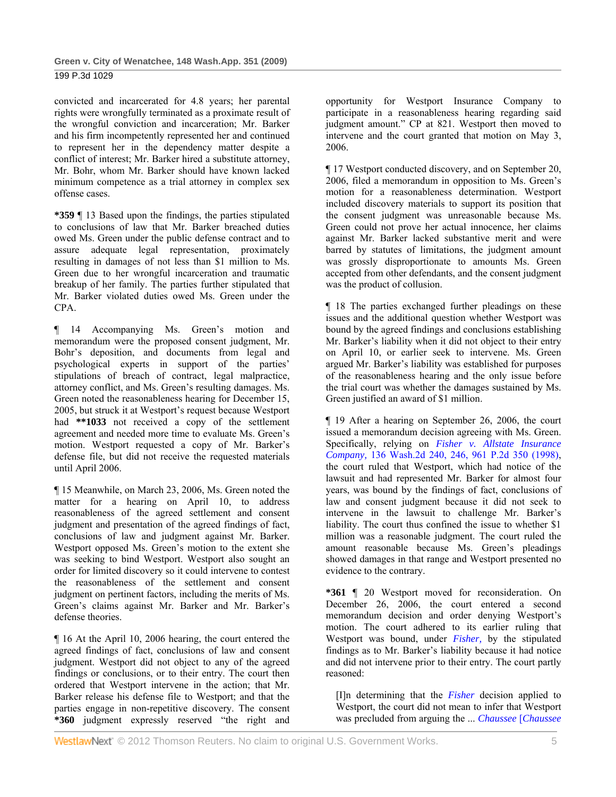convicted and incarcerated for 4.8 years; her parental rights were wrongfully terminated as a proximate result of the wrongful conviction and incarceration; Mr. Barker and his firm incompetently represented her and continued to represent her in the dependency matter despite a conflict of interest; Mr. Barker hired a substitute attorney, Mr. Bohr, whom Mr. Barker should have known lacked minimum competence as a trial attorney in complex sex offense cases.

**\*359** ¶ 13 Based upon the findings, the parties stipulated to conclusions of law that Mr. Barker breached duties owed Ms. Green under the public defense contract and to assure adequate legal representation, proximately resulting in damages of not less than \$1 million to Ms. Green due to her wrongful incarceration and traumatic breakup of her family. The parties further stipulated that Mr. Barker violated duties owed Ms. Green under the CPA.

¶ 14 Accompanying Ms. Green's motion and memorandum were the proposed consent judgment, Mr. Bohr's deposition, and documents from legal and psychological experts in support of the parties' stipulations of breach of contract, legal malpractice, attorney conflict, and Ms. Green's resulting damages. Ms. Green noted the reasonableness hearing for December 15, 2005, but struck it at Westport's request because Westport had **\*\*1033** not received a copy of the settlement agreement and needed more time to evaluate Ms. Green's motion. Westport requested a copy of Mr. Barker's defense file, but did not receive the requested materials until April 2006.

¶ 15 Meanwhile, on March 23, 2006, Ms. Green noted the matter for a hearing on April 10, to address reasonableness of the agreed settlement and consent judgment and presentation of the agreed findings of fact, conclusions of law and judgment against Mr. Barker. Westport opposed Ms. Green's motion to the extent she was seeking to bind Westport. Westport also sought an order for limited discovery so it could intervene to contest the reasonableness of the settlement and consent judgment on pertinent factors, including the merits of Ms. Green's claims against Mr. Barker and Mr. Barker's defense theories.

¶ 16 At the April 10, 2006 hearing, the court entered the agreed findings of fact, conclusions of law and consent judgment. Westport did not object to any of the agreed findings or conclusions, or to their entry. The court then ordered that Westport intervene in the action; that Mr. Barker release his defense file to Westport; and that the parties engage in non-repetitive discovery. The consent **\*360** judgment expressly reserved "the right and

opportunity for Westport Insurance Company to participate in a reasonableness hearing regarding said judgment amount." CP at 821. Westport then moved to intervene and the court granted that motion on May 3, 2006.

¶ 17 Westport conducted discovery, and on September 20, 2006, filed a memorandum in opposition to Ms. Green's motion for a reasonableness determination. Westport included discovery materials to support its position that the consent judgment was unreasonable because Ms. Green could not prove her actual innocence, her claims against Mr. Barker lacked substantive merit and were barred by statutes of limitations, the judgment amount was grossly disproportionate to amounts Ms. Green accepted from other defendants, and the consent judgment was the product of collusion.

¶ 18 The parties exchanged further pleadings on these issues and the additional question whether Westport was bound by the agreed findings and conclusions establishing Mr. Barker's liability when it did not object to their entry on April 10, or earlier seek to intervene. Ms. Green argued Mr. Barker's liability was established for purposes of the reasonableness hearing and the only issue before the trial court was whether the damages sustained by Ms. Green justified an award of \$1 million.

¶ 19 After a hearing on September 26, 2006, the court issued a memorandum decision agreeing with Ms. Green. Specifically, relying on *Fisher v. Allstate Insurance Company,* 136 Wash.2d 240, 246, 961 P.2d 350 (1998), the court ruled that Westport, which had notice of the lawsuit and had represented Mr. Barker for almost four years, was bound by the findings of fact, conclusions of law and consent judgment because it did not seek to intervene in the lawsuit to challenge Mr. Barker's liability. The court thus confined the issue to whether \$1 million was a reasonable judgment. The court ruled the amount reasonable because Ms. Green's pleadings showed damages in that range and Westport presented no evidence to the contrary.

**\*361** ¶ 20 Westport moved for reconsideration. On December 26, 2006, the court entered a second memorandum decision and order denying Westport's motion. The court adhered to its earlier ruling that Westport was bound, under *Fisher,* by the stipulated findings as to Mr. Barker's liability because it had notice and did not intervene prior to their entry. The court partly reasoned:

[I]n determining that the *Fisher* decision applied to Westport, the court did not mean to infer that Westport was precluded from arguing the ... *Chaussee* [*Chaussee*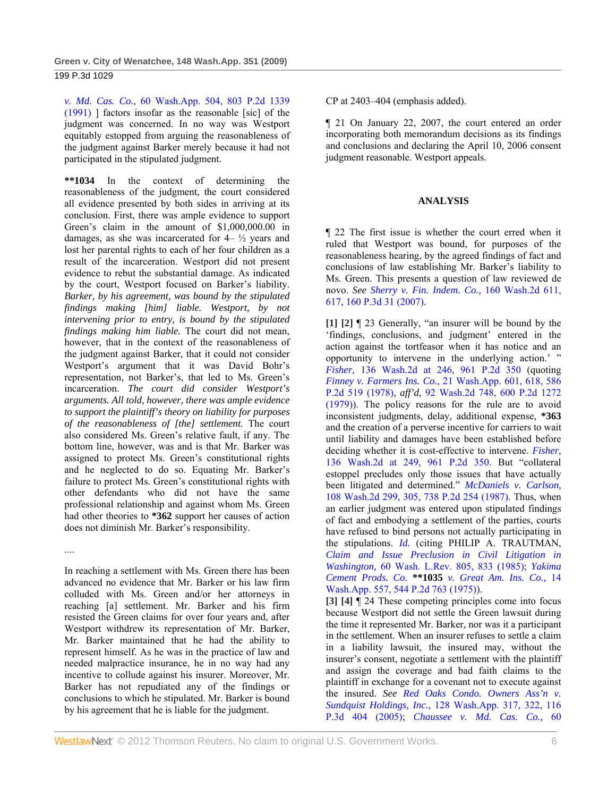*v. Md. Cas. Co.,* 60 Wash.App. 504, 803 P.2d 1339 (1991) ] factors insofar as the reasonable [sic] of the judgment was concerned. In no way was Westport equitably estopped from arguing the reasonableness of the judgment against Barker merely because it had not participated in the stipulated judgment.

**\*\*1034** In the context of determining the reasonableness of the judgment, the court considered all evidence presented by both sides in arriving at its conclusion. First, there was ample evidence to support Green's claim in the amount of \$1,000,000.00 in damages, as she was incarcerated for  $4 \frac{1}{2}$  years and lost her parental rights to each of her four children as a result of the incarceration. Westport did not present evidence to rebut the substantial damage. As indicated by the court, Westport focused on Barker's liability. *Barker, by his agreement, was bound by the stipulated findings making [him] liable. Westport, by not intervening prior to entry, is bound by the stipulated findings making him liable.* The court did not mean, however, that in the context of the reasonableness of the judgment against Barker, that it could not consider Westport's argument that it was David Bohr's representation, not Barker's, that led to Ms. Green's incarceration. *The court did consider Westport's arguments. All told, however, there was ample evidence to support the plaintiff's theory on liability for purposes of the reasonableness of [the] settlement.* The court also considered Ms. Green's relative fault, if any. The bottom line, however, was and is that Mr. Barker was assigned to protect Ms. Green's constitutional rights and he neglected to do so. Equating Mr. Barker's failure to protect Ms. Green's constitutional rights with other defendants who did not have the same professional relationship and against whom Ms. Green had other theories to **\*362** support her causes of action does not diminish Mr. Barker's responsibility.

....

In reaching a settlement with Ms. Green there has been advanced no evidence that Mr. Barker or his law firm colluded with Ms. Green and/or her attorneys in reaching [a] settlement. Mr. Barker and his firm resisted the Green claims for over four years and, after Westport withdrew its representation of Mr. Barker, Mr. Barker maintained that he had the ability to represent himself. As he was in the practice of law and needed malpractice insurance, he in no way had any incentive to collude against his insurer. Moreover, Mr. Barker has not repudiated any of the findings or conclusions to which he stipulated. Mr. Barker is bound by his agreement that he is liable for the judgment.

CP at 2403–404 (emphasis added).

¶ 21 On January 22, 2007, the court entered an order incorporating both memorandum decisions as its findings and conclusions and declaring the April 10, 2006 consent judgment reasonable. Westport appeals.

## **ANALYSIS**

¶ 22 The first issue is whether the court erred when it ruled that Westport was bound, for purposes of the reasonableness hearing, by the agreed findings of fact and conclusions of law establishing Mr. Barker's liability to Ms. Green. This presents a question of law reviewed de novo. *See Sherry v. Fin. Indem. Co.,* 160 Wash.2d 611, 617, 160 P.3d 31 (2007).

**[1] [2]** ¶ 23 Generally, "an insurer will be bound by the 'findings, conclusions, and judgment' entered in the action against the tortfeasor when it has notice and an opportunity to intervene in the underlying action.' ' *Fisher,* 136 Wash.2d at 246, 961 P.2d 350 (quoting *Finney v. Farmers Ins. Co.,* 21 Wash.App. 601, 618, 586 P.2d 519 (1978), *aff'd,* 92 Wash.2d 748, 600 P.2d 1272 (1979)). The policy reasons for the rule are to avoid inconsistent judgments, delay, additional expense, **\*363** and the creation of a perverse incentive for carriers to wait until liability and damages have been established before deciding whether it is cost-effective to intervene. *Fisher,* 136 Wash.2d at 249, 961 P.2d 350. But "collateral estoppel precludes only those issues that have actually been litigated and determined." *McDaniels v. Carlson,* 108 Wash.2d 299, 305, 738 P.2d 254 (1987). Thus, when an earlier judgment was entered upon stipulated findings of fact and embodying a settlement of the parties, courts have refused to bind persons not actually participating in the stipulations. *Id.* (citing PHILIP A. TRAUTMAN, *Claim and Issue Preclusion in Civil Litigation in Washington,* 60 Wash. L.Rev. 805, 833 (1985); *Yakima Cement Prods. Co.* **\*\*1035** *v. Great Am. Ins. Co.,* 14 Wash.App. 557, 544 P.2d 763 (1975)).

**[3] [4]** ¶ 24 These competing principles come into focus because Westport did not settle the Green lawsuit during the time it represented Mr. Barker, nor was it a participant in the settlement. When an insurer refuses to settle a claim in a liability lawsuit, the insured may, without the insurer's consent, negotiate a settlement with the plaintiff and assign the coverage and bad faith claims to the plaintiff in exchange for a covenant not to execute against the insured. *See Red Oaks Condo. Owners Ass'n v. Sundquist Holdings, Inc.,* 128 Wash.App. 317, 322, 116 P.3d 404 (2005); *Chaussee v. Md. Cas. Co.,* 60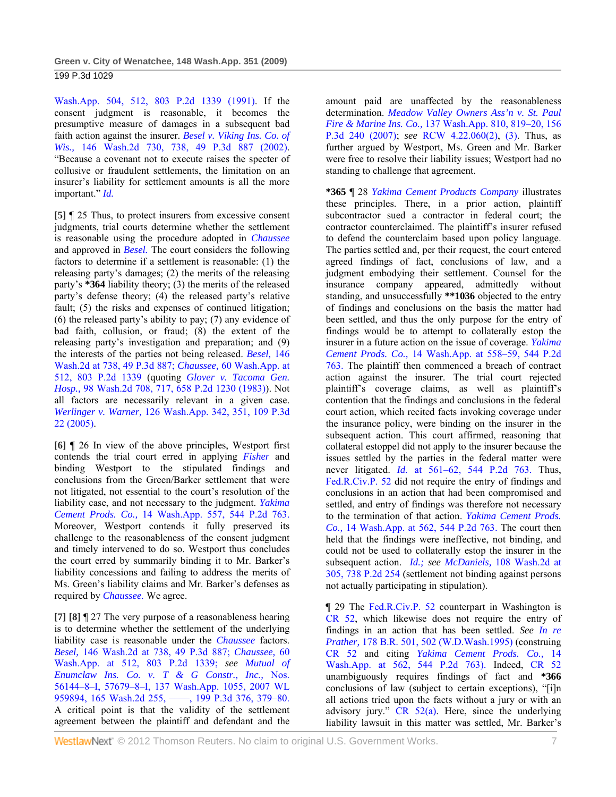Wash.App. 504, 512, 803 P.2d 1339 (1991). If the consent judgment is reasonable, it becomes the presumptive measure of damages in a subsequent bad faith action against the insurer. *Besel v. Viking Ins. Co. of Wis.,* 146 Wash.2d 730, 738, 49 P.3d 887 (2002). "Because a covenant not to execute raises the specter of collusive or fraudulent settlements, the limitation on an insurer's liability for settlement amounts is all the more important." *Id.*

**[5]** ¶ 25 Thus, to protect insurers from excessive consent judgments, trial courts determine whether the settlement is reasonable using the procedure adopted in *Chaussee* and approved in *Besel.* The court considers the following factors to determine if a settlement is reasonable: (1) the releasing party's damages; (2) the merits of the releasing party's **\*364** liability theory; (3) the merits of the released party's defense theory; (4) the released party's relative fault; (5) the risks and expenses of continued litigation; (6) the released party's ability to pay; (7) any evidence of bad faith, collusion, or fraud; (8) the extent of the releasing party's investigation and preparation; and (9) the interests of the parties not being released. *Besel,* 146 Wash.2d at 738, 49 P.3d 887; *Chaussee,* 60 Wash.App. at 512, 803 P.2d 1339 (quoting *Glover v. Tacoma Gen. Hosp.,* 98 Wash.2d 708, 717, 658 P.2d 1230 (1983)). Not all factors are necessarily relevant in a given case. *Werlinger v. Warner,* 126 Wash.App. 342, 351, 109 P.3d 22 (2005).

**[6]** ¶ 26 In view of the above principles, Westport first contends the trial court erred in applying *Fisher* and binding Westport to the stipulated findings and conclusions from the Green/Barker settlement that were not litigated, not essential to the court's resolution of the liability case, and not necessary to the judgment. *Yakima Cement Prods. Co.,* 14 Wash.App. 557, 544 P.2d 763. Moreover, Westport contends it fully preserved its challenge to the reasonableness of the consent judgment and timely intervened to do so. Westport thus concludes the court erred by summarily binding it to Mr. Barker's liability concessions and failing to address the merits of Ms. Green's liability claims and Mr. Barker's defenses as required by *Chaussee.* We agree.

**[7] [8]** ¶ 27 The very purpose of a reasonableness hearing is to determine whether the settlement of the underlying liability case is reasonable under the *Chaussee* factors. *Besel,* 146 Wash.2d at 738, 49 P.3d 887; *Chaussee,* 60 Wash.App. at 512, 803 P.2d 1339; *see Mutual of Enumclaw Ins. Co. v. T & G Constr., Inc.,* Nos. 56144–8–I, 57679–8–I, 137 Wash.App. 1055, 2007 WL 959894, 165 Wash.2d 255, -, 199 P.3d 376, 379-80. A critical point is that the validity of the settlement agreement between the plaintiff and defendant and the

amount paid are unaffected by the reasonableness determination. *Meadow Valley Owners Ass'n v. St. Paul Fire & Marine Ins. Co.,* 137 Wash.App. 810, 819–20, 156 P.3d 240 (2007); *see* RCW 4.22.060(2), (3). Thus, as further argued by Westport, Ms. Green and Mr. Barker were free to resolve their liability issues; Westport had no standing to challenge that agreement.

**\*365** ¶ 28 *Yakima Cement Products Company* illustrates these principles. There, in a prior action, plaintiff subcontractor sued a contractor in federal court; the contractor counterclaimed. The plaintiff's insurer refused to defend the counterclaim based upon policy language. The parties settled and, per their request, the court entered agreed findings of fact, conclusions of law, and a judgment embodying their settlement. Counsel for the insurance company appeared, admittedly without standing, and unsuccessfully **\*\*1036** objected to the entry of findings and conclusions on the basis the matter had been settled, and thus the only purpose for the entry of findings would be to attempt to collaterally estop the insurer in a future action on the issue of coverage. *Yakima Cement Prods. Co.,* 14 Wash.App. at 558–59, 544 P.2d 763. The plaintiff then commenced a breach of contract action against the insurer. The trial court rejected plaintiff's coverage claims, as well as plaintiff's contention that the findings and conclusions in the federal court action, which recited facts invoking coverage under the insurance policy, were binding on the insurer in the subsequent action. This court affirmed, reasoning that collateral estoppel did not apply to the insurer because the issues settled by the parties in the federal matter were never litigated. *Id.* at 561–62, 544 P.2d 763. Thus, Fed.R.Civ.P. 52 did not require the entry of findings and conclusions in an action that had been compromised and settled, and entry of findings was therefore not necessary to the termination of that action. *Yakima Cement Prods. Co.,* 14 Wash.App. at 562, 544 P.2d 763. The court then held that the findings were ineffective, not binding, and could not be used to collaterally estop the insurer in the subsequent action. *Id.; see McDaniels,* 108 Wash.2d at 305, 738 P.2d 254 (settlement not binding against persons not actually participating in stipulation).

¶ 29 The Fed.R.Civ.P. 52 counterpart in Washington is CR 52, which likewise does not require the entry of findings in an action that has been settled. *See In re Prather,* 178 B.R. 501, 502 (W.D.Wash.1995) (construing CR 52 and citing *Yakima Cement Prods. Co.,* 14 Wash.App. at 562, 544 P.2d 763). Indeed, CR 52 unambiguously requires findings of fact and **\*366** conclusions of law (subject to certain exceptions), "[i]n all actions tried upon the facts without a jury or with an advisory jury." CR 52(a). Here, since the underlying liability lawsuit in this matter was settled, Mr. Barker's

WestlawNext" © 2012 Thomson Reuters. No claim to original U.S. Government Works. 7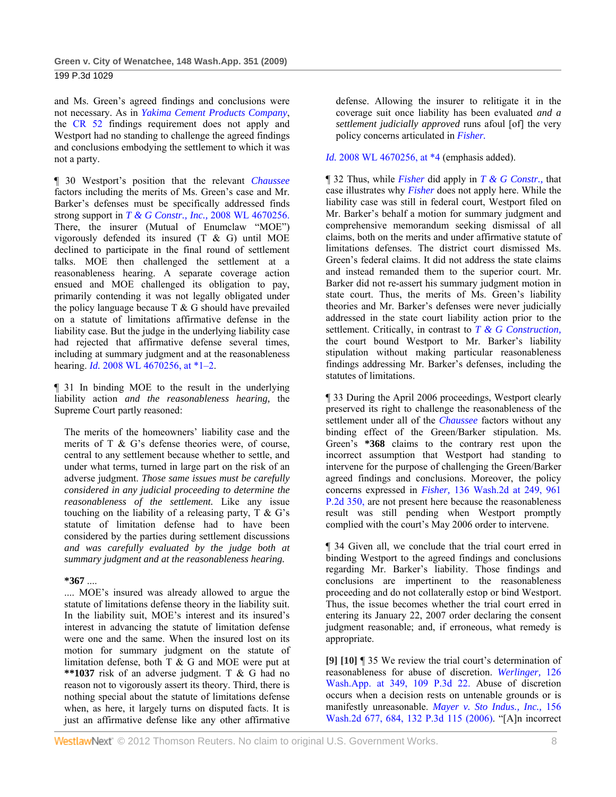and Ms. Green's agreed findings and conclusions were not necessary. As in *Yakima Cement Products Company*, the CR 52 findings requirement does not apply and Westport had no standing to challenge the agreed findings and conclusions embodying the settlement to which it was not a party.

¶ 30 Westport's position that the relevant *Chaussee* factors including the merits of Ms. Green's case and Mr. Barker's defenses must be specifically addressed finds strong support in *T & G Constr., Inc.,* 2008 WL 4670256. There, the insurer (Mutual of Enumclaw "MOE") vigorously defended its insured (T & G) until MOE declined to participate in the final round of settlement talks. MOE then challenged the settlement at a reasonableness hearing. A separate coverage action ensued and MOE challenged its obligation to pay, primarily contending it was not legally obligated under the policy language because  $T \& G$  should have prevailed on a statute of limitations affirmative defense in the liability case. But the judge in the underlying liability case had rejected that affirmative defense several times, including at summary judgment and at the reasonableness hearing. *Id.* 2008 WL 4670256, at \*1–2.

¶ 31 In binding MOE to the result in the underlying liability action *and the reasonableness hearing,* the Supreme Court partly reasoned:

The merits of the homeowners' liability case and the merits of T & G's defense theories were, of course, central to any settlement because whether to settle, and under what terms, turned in large part on the risk of an adverse judgment. *Those same issues must be carefully considered in any judicial proceeding to determine the reasonableness of the settlement.* Like any issue touching on the liability of a releasing party,  $T \& G$ 's statute of limitation defense had to have been considered by the parties during settlement discussions *and was carefully evaluated by the judge both at summary judgment and at the reasonableness hearing.* 

## **\*367** ....

.... MOE's insured was already allowed to argue the statute of limitations defense theory in the liability suit. In the liability suit, MOE's interest and its insured's interest in advancing the statute of limitation defense were one and the same. When the insured lost on its motion for summary judgment on the statute of limitation defense, both T & G and MOE were put at **\*\*1037** risk of an adverse judgment. T & G had no reason not to vigorously assert its theory. Third, there is nothing special about the statute of limitations defense when, as here, it largely turns on disputed facts. It is just an affirmative defense like any other affirmative

defense. Allowing the insurer to relitigate it in the coverage suit once liability has been evaluated *and a settlement judicially approved* runs afoul [of] the very policy concerns articulated in *Fisher.*

*Id.* 2008 WL 4670256, at \*4 (emphasis added).

¶ 32 Thus, while *Fisher* did apply in *T & G Constr.,* that case illustrates why *Fisher* does not apply here. While the liability case was still in federal court, Westport filed on Mr. Barker's behalf a motion for summary judgment and comprehensive memorandum seeking dismissal of all claims, both on the merits and under affirmative statute of limitations defenses. The district court dismissed Ms. Green's federal claims. It did not address the state claims and instead remanded them to the superior court. Mr. Barker did not re-assert his summary judgment motion in state court. Thus, the merits of Ms. Green's liability theories and Mr. Barker's defenses were never judicially addressed in the state court liability action prior to the settlement. Critically, in contrast to *T & G Construction,* the court bound Westport to Mr. Barker's liability stipulation without making particular reasonableness findings addressing Mr. Barker's defenses, including the statutes of limitations.

¶ 33 During the April 2006 proceedings, Westport clearly preserved its right to challenge the reasonableness of the settlement under all of the *Chaussee* factors without any binding effect of the Green/Barker stipulation. Ms. Green's **\*368** claims to the contrary rest upon the incorrect assumption that Westport had standing to intervene for the purpose of challenging the Green/Barker agreed findings and conclusions. Moreover, the policy concerns expressed in *Fisher,* 136 Wash.2d at 249, 961 P.2d 350, are not present here because the reasonableness result was still pending when Westport promptly complied with the court's May 2006 order to intervene.

¶ 34 Given all, we conclude that the trial court erred in binding Westport to the agreed findings and conclusions regarding Mr. Barker's liability. Those findings and conclusions are impertinent to the reasonableness proceeding and do not collaterally estop or bind Westport. Thus, the issue becomes whether the trial court erred in entering its January 22, 2007 order declaring the consent judgment reasonable; and, if erroneous, what remedy is appropriate.

**[9] [10]** ¶ 35 We review the trial court's determination of reasonableness for abuse of discretion. *Werlinger,* 126 Wash.App. at 349, 109 P.3d 22. Abuse of discretion occurs when a decision rests on untenable grounds or is manifestly unreasonable. *Mayer v. Sto Indus., Inc.,* 156 Wash.2d 677, 684, 132 P.3d 115 (2006). "[A]n incorrect